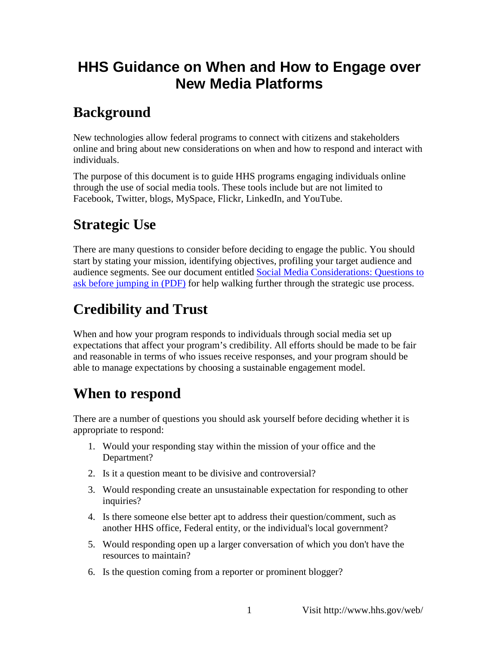## **HHS Guidance on When and How to Engage over New Media Platforms**

## **Background**

New technologies allow federal programs to connect with citizens and stakeholders online and bring about new considerations on when and how to respond and interact with individuals.

 through the use of social media tools. These tools include but are not limited to The purpose of this document is to guide HHS programs engaging individuals online Facebook, Twitter, blogs, MySpace, Flickr, LinkedIn, and YouTube.

# **Strategic Use**

 start by stating your mission, identifying objectives, profiling your target audience and [ask before jumping in \(PDF\)](http://www.newmedia.hhs.gov/hhsCNM_before_jumping_in_03-12-2010.pdf) for help walking further through the strategic use process. There are many questions to consider before deciding to engage the public. You should audience segments. See our document entitled [Social Media Considerations: Questions to](http://www.newmedia.hhs.gov/hhsCNM_before_jumping_in_03-12-2010.pdf) 

# **Credibility and Trust**

 expectations that affect your program's credibility. All efforts should be made to be fair and reasonable in terms of who issues receive responses, and your program should be When and how your program responds to individuals through social media set up able to manage expectations by choosing a sustainable engagement model.

#### **When to respond**

 There are a number of questions you should ask yourself before deciding whether it is appropriate to respond:

- 1. Would your responding stay within the mission of your office and the Department?
- 2. Is it a question meant to be divisive and controversial?
- 3. Would responding create an unsustainable expectation for responding to other inquiries?
- 4. Is there someone else better apt to address their question/comment, such as another HHS office, Federal entity, or the individual's local government?
- 5. Would responding open up a larger conversation of which you don't have the resources to maintain?
- 6. Is the question coming from a reporter or prominent blogger?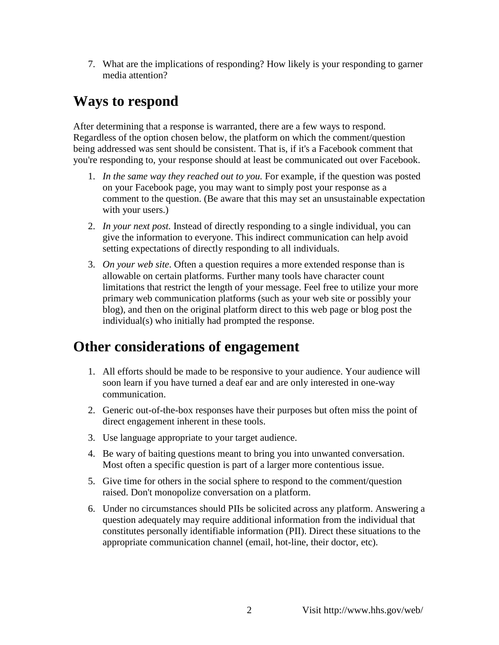7. What are the implications of responding? How likely is your responding to garner media attention?

#### **Ways to respond**

After determining that a response is warranted, there are a few ways to respond. Regardless of the option chosen below, the platform on which the comment/question being addressed was sent should be consistent. That is, if it's a Facebook comment that you're responding to, your response should at least be communicated out over Facebook.

- on your Facebook page, you may want to simply post your response as a 1. *In the same way they reached out to you*. For example, if the question was posted comment to the question. (Be aware that this may set an unsustainable expectation with your users.)
- 2. *In your next post.* Instead of directly responding to a single individual, you can give the information to everyone. This indirect communication can help avoid setting expectations of directly responding to all individuals.
- allowable on certain platforms. Further many tools have character count limitations that restrict the length of your message. Feel free to utilize your more primary web communication platforms (such as your web site or possibly your 3. *On your web site*. Often a question requires a more extended response than is blog), and then on the original platform direct to this web page or blog post the individual(s) who initially had prompted the response.

#### **Other considerations of engagement**

- soon learn if you have turned a deaf ear and are only interested in one-way 1. All efforts should be made to be responsive to your audience. Your audience will communication.
- 2. Generic out-of-the-box responses have their purposes but often miss the point of direct engagement inherent in these tools.
- 3. Use language appropriate to your target audience.
- 4. Be wary of baiting questions meant to bring you into unwanted conversation. Most often a specific question is part of a larger more contentious issue.
- 5. Give time for others in the social sphere to respond to the comment/question raised. Don't monopolize conversation on a platform.
- question adequately may require additional information from the individual that 6. Under no circumstances should PIIs be solicited across any platform. Answering a constitutes personally identifiable information (PII). Direct these situations to the appropriate communication channel (email, hot-line, their doctor, etc).